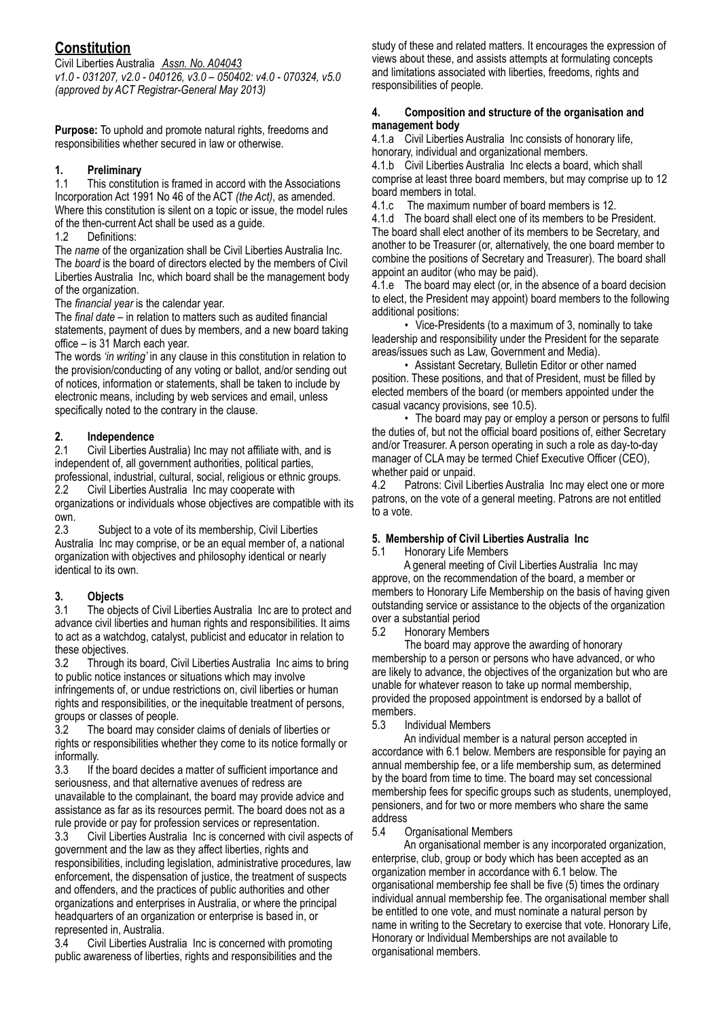# **Constitution**

Civil Liberties Australia *Assn. No. A04043 v1.0 - 031207, v2.0 - 040126, v3.0 – 050402: v4.0 - 070324, v5.0 (approved by ACT Registrar-General May 2013)*

**Purpose:** To uphold and promote natural rights, freedoms and responsibilities whether secured in law or otherwise.

## **1. Preliminary**

1.1 This constitution is framed in accord with the Associations Incorporation Act 1991 No 46 of the ACT *(the Act)*, as amended. Where this constitution is silent on a topic or issue, the model rules of the then-current Act shall be used as a guide.

1.2 Definitions:

The *name* of the organization shall be Civil Liberties Australia Inc. The *board* is the board of directors elected by the members of Civil Liberties Australia Inc, which board shall be the management body of the organization.

The *financial year* is the calendar year.

The *final date* – in relation to matters such as audited financial statements, payment of dues by members, and a new board taking office – is 31 March each year.

The words *'in writing'* in any clause in this constitution in relation to the provision/conducting of any voting or ballot, and/or sending out of notices, information or statements, shall be taken to include by electronic means, including by web services and email, unless specifically noted to the contrary in the clause.

# **2. Independence**

2.1 Civil Liberties Australia) Inc may not affiliate with, and is independent of, all government authorities, political parties, professional, industrial, cultural, social, religious or ethnic groups.

2.2 Civil Liberties Australia Inc may cooperate with organizations or individuals whose objectives are compatible with its own.

2.3 Subject to a vote of its membership, Civil Liberties Australia Inc may comprise, or be an equal member of, a national organization with objectives and philosophy identical or nearly identical to its own.

# **3. Objects**

3.1 The objects of Civil Liberties Australia Inc are to protect and advance civil liberties and human rights and responsibilities. It aims to act as a watchdog, catalyst, publicist and educator in relation to these objectives.

3.2 Through its board, Civil Liberties Australia Inc aims to bring to public notice instances or situations which may involve infringements of, or undue restrictions on, civil liberties or human rights and responsibilities, or the inequitable treatment of persons, groups or classes of people.

3.2 The board may consider claims of denials of liberties or rights or responsibilities whether they come to its notice formally or informally.

3.3 If the board decides a matter of sufficient importance and seriousness, and that alternative avenues of redress are unavailable to the complainant, the board may provide advice and assistance as far as its resources permit. The board does not as a rule provide or pay for profession services or representation.

3.3 Civil Liberties Australia Inc is concerned with civil aspects of government and the law as they affect liberties, rights and responsibilities, including legislation, administrative procedures, law enforcement, the dispensation of justice, the treatment of suspects and offenders, and the practices of public authorities and other organizations and enterprises in Australia, or where the principal headquarters of an organization or enterprise is based in, or represented in, Australia.

3.4 Civil Liberties Australia Inc is concerned with promoting public awareness of liberties, rights and responsibilities and the

study of these and related matters. It encourages the expression of views about these, and assists attempts at formulating concepts and limitations associated with liberties, freedoms, rights and responsibilities of people.

#### **4. Composition and structure of the organisation and management body**

4.1.a Civil Liberties Australia Inc consists of honorary life, honorary, individual and organizational members.

4.1.b Civil Liberties Australia Inc elects a board, which shall comprise at least three board members, but may comprise up to 12 board members in total.

4.1.c The maximum number of board members is 12.

4.1.d The board shall elect one of its members to be President. The board shall elect another of its members to be Secretary, and another to be Treasurer (or, alternatively, the one board member to combine the positions of Secretary and Treasurer). The board shall appoint an auditor (who may be paid).

4.1.e The board may elect (or, in the absence of a board decision to elect, the President may appoint) board members to the following additional positions:

 • Vice-Presidents (to a maximum of 3, nominally to take leadership and responsibility under the President for the separate areas/issues such as Law, Government and Media).

 • Assistant Secretary, Bulletin Editor or other named position. These positions, and that of President, must be filled by elected members of the board (or members appointed under the casual vacancy provisions, see 10.5).

• The board may pay or employ a person or persons to fulfil the duties of, but not the official board positions of, either Secretary and/or Treasurer. A person operating in such a role as day-to-day manager of CLA may be termed Chief Executive Officer (CEO), whether paid or unpaid.

4.2 Patrons: Civil Liberties Australia Inc may elect one or more patrons, on the vote of a general meeting. Patrons are not entitled to a vote.

## **5. Membership of Civil Liberties Australia Inc**

5.1 Honorary Life Members

 A general meeting of Civil Liberties Australia Inc may approve, on the recommendation of the board, a member or members to Honorary Life Membership on the basis of having given outstanding service or assistance to the objects of the organization over a substantial period

5.2 Honorary Members

 The board may approve the awarding of honorary membership to a person or persons who have advanced, or who are likely to advance, the objectives of the organization but who are unable for whatever reason to take up normal membership, provided the proposed appointment is endorsed by a ballot of members.

5.3 Individual Members

 An individual member is a natural person accepted in accordance with 6.1 below. Members are responsible for paying an annual membership fee, or a life membership sum, as determined by the board from time to time. The board may set concessional membership fees for specific groups such as students, unemployed, pensioners, and for two or more members who share the same address<br>5.4 (

5.4 Organisational Members

 An organisational member is any incorporated organization, enterprise, club, group or body which has been accepted as an organization member in accordance with 6.1 below. The organisational membership fee shall be five (5) times the ordinary individual annual membership fee. The organisational member shall be entitled to one vote, and must nominate a natural person by name in writing to the Secretary to exercise that vote. Honorary Life, Honorary or Individual Memberships are not available to organisational members.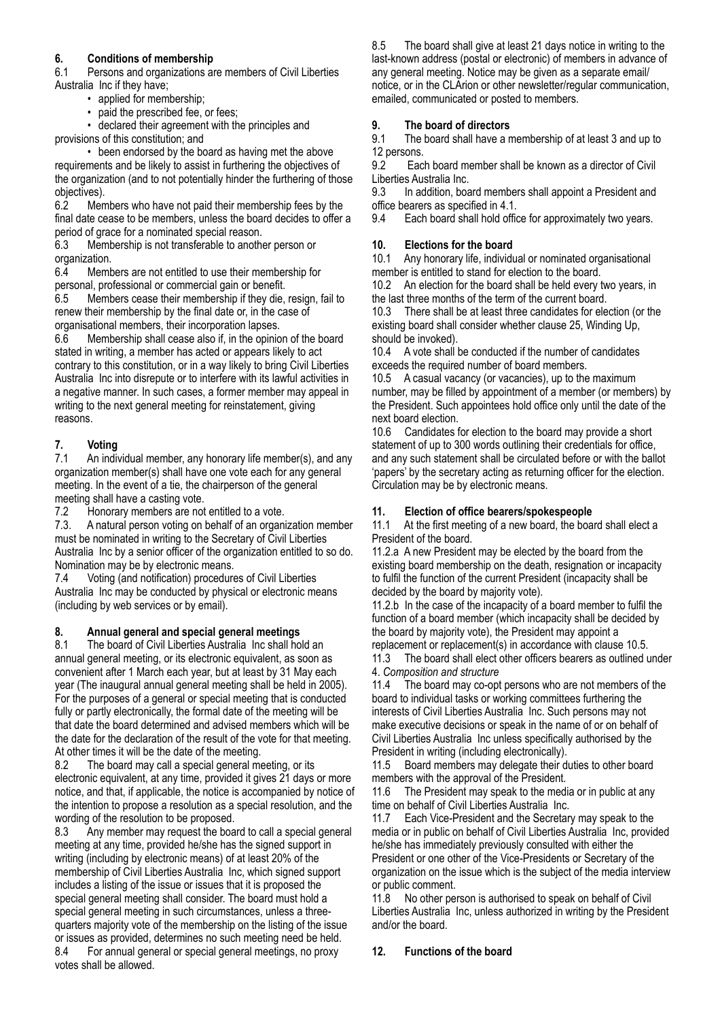#### **6. Conditions of membership**

6.1 Persons and organizations are members of Civil Liberties Australia Inc if they have;

- applied for membership;
- paid the prescribed fee, or fees;

 • declared their agreement with the principles and provisions of this constitution; and

 • been endorsed by the board as having met the above requirements and be likely to assist in furthering the objectives of the organization (and to not potentially hinder the furthering of those objectives).

6.2 Members who have not paid their membership fees by the final date cease to be members, unless the board decides to offer a period of grace for a nominated special reason.

6.3 Membership is not transferable to another person or organization.

6.4 Members are not entitled to use their membership for personal, professional or commercial gain or benefit.

6.5 Members cease their membership if they die, resign, fail to renew their membership by the final date or, in the case of organisational members, their incorporation lapses.

6.6 Membership shall cease also if, in the opinion of the board stated in writing, a member has acted or appears likely to act contrary to this constitution, or in a way likely to bring Civil Liberties Australia Inc into disrepute or to interfere with its lawful activities in a negative manner. In such cases, a former member may appeal in writing to the next general meeting for reinstatement, giving reasons.

#### **7. Voting**

7.1 An individual member, any honorary life member(s), and any organization member(s) shall have one vote each for any general meeting. In the event of a tie, the chairperson of the general meeting shall have a casting vote.

7.2 Honorary members are not entitled to a vote.

7.3. A natural person voting on behalf of an organization member must be nominated in writing to the Secretary of Civil Liberties Australia Inc by a senior officer of the organization entitled to so do. Nomination may be by electronic means.

7.4 Voting (and notification) procedures of Civil Liberties Australia Inc may be conducted by physical or electronic means (including by web services or by email).

#### **8. Annual general and special general meetings**

8.1 The board of Civil Liberties Australia Inc shall hold an annual general meeting, or its electronic equivalent, as soon as convenient after 1 March each year, but at least by 31 May each year (The inaugural annual general meeting shall be held in 2005). For the purposes of a general or special meeting that is conducted fully or partly electronically, the formal date of the meeting will be that date the board determined and advised members which will be the date for the declaration of the result of the vote for that meeting. At other times it will be the date of the meeting.

8.2 The board may call a special general meeting, or its electronic equivalent, at any time, provided it gives 21 days or more notice, and that, if applicable, the notice is accompanied by notice of the intention to propose a resolution as a special resolution, and the wording of the resolution to be proposed.

8.3 Any member may request the board to call a special general meeting at any time, provided he/she has the signed support in writing (including by electronic means) of at least 20% of the membership of Civil Liberties Australia Inc, which signed support includes a listing of the issue or issues that it is proposed the special general meeting shall consider. The board must hold a special general meeting in such circumstances, unless a threequarters majority vote of the membership on the listing of the issue or issues as provided, determines no such meeting need be held. 8.4 For annual general or special general meetings, no proxy votes shall be allowed.

8.5 The board shall give at least 21 days notice in writing to the last-known address (postal or electronic) of members in advance of any general meeting. Notice may be given as a separate email/ notice, or in the CLArion or other newsletter/regular communication, emailed, communicated or posted to members.

#### **9. The board of directors**

9.1 The board shall have a membership of at least 3 and up to 12 persons.

9.2 Each board member shall be known as a director of Civil Liberties Australia Inc.

9.3 In addition, board members shall appoint a President and office bearers as specified in 4.1.<br>9.4 Each board shall hold office

Each board shall hold office for approximately two years.

#### **10. Elections for the board**

10.1 Any honorary life, individual or nominated organisational member is entitled to stand for election to the board.

10.2 An election for the board shall be held every two years, in the last three months of the term of the current board.

10.3 There shall be at least three candidates for election (or the existing board shall consider whether clause 25, Winding Up, should be invoked).

10.4 A vote shall be conducted if the number of candidates exceeds the required number of board members.

10.5 A casual vacancy (or vacancies), up to the maximum number, may be filled by appointment of a member (or members) by the President. Such appointees hold office only until the date of the next board election.

10.6 Candidates for election to the board may provide a short statement of up to 300 words outlining their credentials for office, and any such statement shall be circulated before or with the ballot 'papers' by the secretary acting as returning officer for the election. Circulation may be by electronic means.

#### **11. Election of office bearers/spokespeople**

11.1 At the first meeting of a new board, the board shall elect a President of the board.

11.2.a A new President may be elected by the board from the existing board membership on the death, resignation or incapacity to fulfil the function of the current President (incapacity shall be decided by the board by majority vote).

11.2.b In the case of the incapacity of a board member to fulfil the function of a board member (which incapacity shall be decided by the board by majority vote), the President may appoint a replacement or replacement(s) in accordance with clause 10.5.

11.3 The board shall elect other officers bearers as outlined under 4. *Composition and structure*

11.4 The board may co-opt persons who are not members of the board to individual tasks or working committees furthering the interests of Civil Liberties Australia Inc. Such persons may not make executive decisions or speak in the name of or on behalf of Civil Liberties Australia Inc unless specifically authorised by the President in writing (including electronically).

11.5 Board members may delegate their duties to other board members with the approval of the President.

11.6 The President may speak to the media or in public at any time on behalf of Civil Liberties Australia Inc.

11.7 Each Vice-President and the Secretary may speak to the media or in public on behalf of Civil Liberties Australia Inc, provided he/she has immediately previously consulted with either the President or one other of the Vice-Presidents or Secretary of the organization on the issue which is the subject of the media interview or public comment.

11.8 No other person is authorised to speak on behalf of Civil Liberties Australia Inc, unless authorized in writing by the President and/or the board.

#### **12. Functions of the board**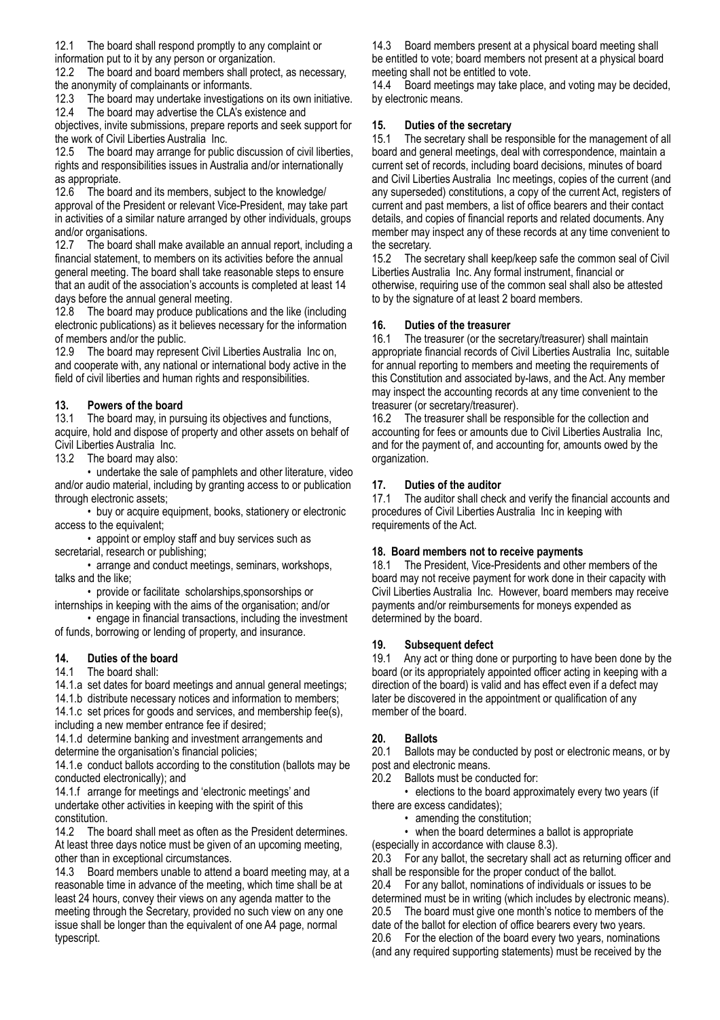12.1 The board shall respond promptly to any complaint or

information put to it by any person or organization.

12.2 The board and board members shall protect, as necessary, the anonymity of complainants or informants.

12.3 The board may undertake investigations on its own initiative. 12.4 The board may advertise the CLA's existence and

objectives, invite submissions, prepare reports and seek support for the work of Civil Liberties Australia Inc.

12.5 The board may arrange for public discussion of civil liberties, rights and responsibilities issues in Australia and/or internationally as appropriate.

12.6 The board and its members, subject to the knowledge/ approval of the President or relevant Vice-President, may take part in activities of a similar nature arranged by other individuals, groups and/or organisations.

12.7 The board shall make available an annual report, including a financial statement, to members on its activities before the annual general meeting. The board shall take reasonable steps to ensure that an audit of the association's accounts is completed at least 14 days before the annual general meeting.

12.8 The board may produce publications and the like (including electronic publications) as it believes necessary for the information of members and/or the public.

12.9 The board may represent Civil Liberties Australia Inc on, and cooperate with, any national or international body active in the field of civil liberties and human rights and responsibilities.

## **13. Powers of the board**

13.1 The board may, in pursuing its objectives and functions, acquire, hold and dispose of property and other assets on behalf of Civil Liberties Australia Inc.

13.2 The board may also:

 • undertake the sale of pamphlets and other literature, video and/or audio material, including by granting access to or publication through electronic assets;

 • buy or acquire equipment, books, stationery or electronic access to the equivalent;

 • appoint or employ staff and buy services such as secretarial, research or publishing;

 • arrange and conduct meetings, seminars, workshops, talks and the like;

 • provide or facilitate scholarships,sponsorships or internships in keeping with the aims of the organisation; and/or

 • engage in financial transactions, including the investment of funds, borrowing or lending of property, and insurance.

## **14. Duties of the board**

14.1 The board shall:

14.1.a set dates for board meetings and annual general meetings;

14.1.b distribute necessary notices and information to members; 14.1.c set prices for goods and services, and membership fee(s),

including a new member entrance fee if desired;

14.1.d determine banking and investment arrangements and determine the organisation's financial policies;

14.1.e conduct ballots according to the constitution (ballots may be conducted electronically); and

14.1.f arrange for meetings and 'electronic meetings' and undertake other activities in keeping with the spirit of this constitution.

14.2 The board shall meet as often as the President determines. At least three days notice must be given of an upcoming meeting, other than in exceptional circumstances.

14.3 Board members unable to attend a board meeting may, at a reasonable time in advance of the meeting, which time shall be at least 24 hours, convey their views on any agenda matter to the meeting through the Secretary, provided no such view on any one issue shall be longer than the equivalent of one A4 page, normal typescript.

14.3 Board members present at a physical board meeting shall be entitled to vote; board members not present at a physical board meeting shall not be entitled to vote.

14.4 Board meetings may take place, and voting may be decided, by electronic means.

#### **15. Duties of the secretary**

15.1 The secretary shall be responsible for the management of all board and general meetings, deal with correspondence, maintain a current set of records, including board decisions, minutes of board and Civil Liberties Australia Inc meetings, copies of the current (and any superseded) constitutions, a copy of the current Act, registers of current and past members, a list of office bearers and their contact details, and copies of financial reports and related documents. Any member may inspect any of these records at any time convenient to the secretary.

15.2 The secretary shall keep/keep safe the common seal of Civil Liberties Australia Inc. Any formal instrument, financial or otherwise, requiring use of the common seal shall also be attested to by the signature of at least 2 board members.

#### **16. Duties of the treasurer**

16.1 The treasurer (or the secretary/treasurer) shall maintain appropriate financial records of Civil Liberties Australia Inc, suitable for annual reporting to members and meeting the requirements of this Constitution and associated by-laws, and the Act. Any member may inspect the accounting records at any time convenient to the treasurer (or secretary/treasurer).

16.2 The treasurer shall be responsible for the collection and accounting for fees or amounts due to Civil Liberties Australia Inc, and for the payment of, and accounting for, amounts owed by the organization.

#### **17. Duties of the auditor**

17.1 The auditor shall check and verify the financial accounts and procedures of Civil Liberties Australia Inc in keeping with requirements of the Act.

#### **18. Board members not to receive payments**

18.1 The President, Vice-Presidents and other members of the board may not receive payment for work done in their capacity with Civil Liberties Australia Inc. However, board members may receive payments and/or reimbursements for moneys expended as determined by the board.

#### **19. Subsequent defect**

19.1 Any act or thing done or purporting to have been done by the board (or its appropriately appointed officer acting in keeping with a direction of the board) is valid and has effect even if a defect may later be discovered in the appointment or qualification of any member of the board.

#### **20. Ballots**

20.1 Ballots may be conducted by post or electronic means, or by post and electronic means.

20.2 Ballots must be conducted for:

 • elections to the board approximately every two years (if there are excess candidates);

• amending the constitution;

• when the board determines a ballot is appropriate

(especially in accordance with clause 8.3).

20.3 For any ballot, the secretary shall act as returning officer and shall be responsible for the proper conduct of the ballot.

20.4 For any ballot, nominations of individuals or issues to be determined must be in writing (which includes by electronic means). 20.5 The board must give one month's notice to members of the

date of the ballot for election of office bearers every two years.

20.6 For the election of the board every two years, nominations (and any required supporting statements) must be received by the